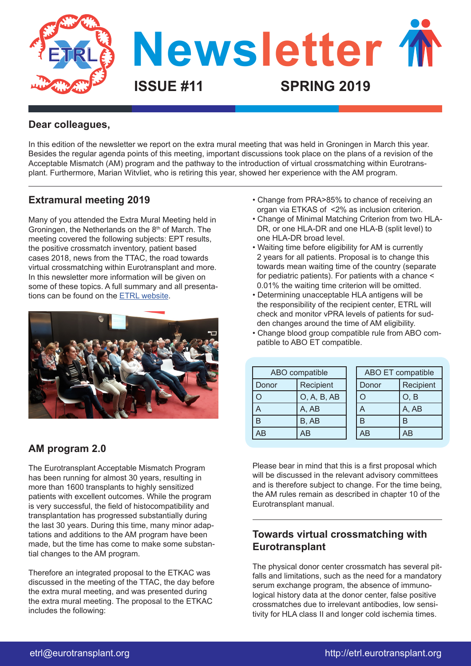

### **Dear colleagues,**

In this edition of the newsletter we report on the extra mural meeting that was held in Groningen in March this year. Besides the regular agenda points of this meeting, important discussions took place on the plans of a revision of the Acceptable Mismatch (AM) program and the pathway to the introduction of virtual crossmatching within Eurotransplant. Furthermore, Marian Witvliet, who is retiring this year, showed her experience with the AM program.

## **Extramural meeting 2019**

Many of you attended the Extra Mural Meeting held in Groningen, the Netherlands on the 8<sup>th</sup> of March. The meeting covered the following subjects: EPT results, the positive crossmatch inventory, patient based cases 2018, news from the TTAC, the road towards virtual crossmatching within Eurotransplant and more. In this newsletter more information will be given on some of these topics. A full summary and all presentations can be found on the [ETRL website.](http://etrl.eurotransplant.org/cms/index.php?page=extramuralmeeting)



# **AM program 2.0**

The Eurotransplant Acceptable Mismatch Program has been running for almost 30 years, resulting in more than 1600 transplants to highly sensitized patients with excellent outcomes. While the program is very successful, the field of histocompatibility and transplantation has progressed substantially during the last 30 years. During this time, many minor adaptations and additions to the AM program have been made, but the time has come to make some substantial changes to the AM program.

Therefore an integrated proposal to the ETKAC was discussed in the meeting of the TTAC, the day before the extra mural meeting, and was presented during the extra mural meeting. The proposal to the ETKAC includes the following:

- Change from PRA>85% to chance of receiving an organ via ETKAS of <2% as inclusion criterion.
- Change of Minimal Matching Criterion from two HLA- DR, or one HLA-DR and one HLA-B (split level) to one HLA-DR broad level.
- Waiting time before eligibility for AM is currently 2 years for all patients. Proposal is to change this towards mean waiting time of the country (separate for pediatric patients). For patients with a chance < 0.01% the waiting time criterion will be omitted.
- Determining unacceptable HLA antigens will be the responsibility of the recipient center, ETRL will check and monitor vPRA levels of patients for sud den changes around the time of AM eligibility.
- Change blood group compatible rule from ABO com patible to ABO ET compatible.

| ABO compatible |             | ABO ET compatible |           |
|----------------|-------------|-------------------|-----------|
| Donor          | Recipient   | Donor             | Recipient |
|                | O, A, B, AB |                   | O, B      |
|                | A, AB       |                   | A, AB     |
| R              | B, AB       | R                 |           |
| AB             | AB          | <b>AB</b>         | AB        |

Please bear in mind that this is a first proposal which will be discussed in the relevant advisory committees and is therefore subject to change. For the time being, the AM rules remain as described in chapter 10 of the Eurotransplant manual.

# **Towards virtual crossmatching with Eurotransplant**

The physical donor center crossmatch has several pitfalls and limitations, such as the need for a mandatory serum exchange program, the absence of immunological history data at the donor center, false positive crossmatches due to irrelevant antibodies, low sensitivity for HLA class II and longer cold ischemia times.